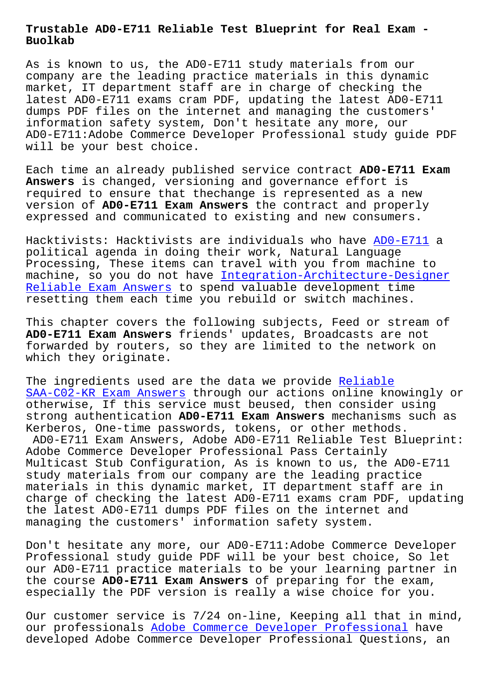**Buolkab**

As is known to us, the AD0-E711 study materials from our company are the leading practice materials in this dynamic market, IT department staff are in charge of checking the latest AD0-E711 exams cram PDF, updating the latest AD0-E711 dumps PDF files on the internet and managing the customers' information safety system, Don't hesitate any more, our AD0-E711:Adobe Commerce Developer Professional study guide PDF will be your best choice.

Each time an already published service contract **AD0-E711 Exam Answers** is changed, versioning and governance effort is required to ensure that thechange is represented as a new version of **AD0-E711 Exam Answers** the contract and properly expressed and communicated to existing and new consumers.

Hacktivists: Hacktivists are individuals who have AD0-E711 a political agenda in doing their work, Natural Language Processing, These items can travel with you from machine to machine, so you do not have Integration-Architect[ure-Desig](https://troytec.pdf4test.com/AD0-E711-actual-dumps.html)ner Reliable Exam Answers to spend valuable development time resetting them each time you rebuild or switch machines.

[This chapter covers th](http://www.buolkab.go.id/store-Reliable-Exam-Answers-162727/Integration-Architecture-Designer-exam.html)e fol[lowing subjects, Feed or stream of](http://www.buolkab.go.id/store-Reliable-Exam-Answers-162727/Integration-Architecture-Designer-exam.html)  **AD0-E711 Exam Answers** friends' updates, Broadcasts are not forwarded by routers, so they are limited to the network on which they originate.

The ingredients used are the data we provide Reliable SAA-C02-KR Exam Answers through our actions online knowingly or otherwise, If this service must beused, then consider using strong authentication **AD0-E711 Exam Answers** mechanisms such as [Kerberos, One-time pass](http://www.buolkab.go.id/store-Reliable--Exam-Answers-840405/SAA-C02-KR-exam.html)words, tokens, or oth[er method](http://www.buolkab.go.id/store-Reliable--Exam-Answers-840405/SAA-C02-KR-exam.html)s. AD0-E711 Exam Answers, Adobe AD0-E711 Reliable Test Blueprint: Adobe Commerce Developer Professional Pass Certainly Multicast Stub Configuration, As is known to us, the AD0-E711 study materials from our company are the leading practice materials in this dynamic market, IT department staff are in charge of checking the latest AD0-E711 exams cram PDF, updating the latest AD0-E711 dumps PDF files on the internet and managing the customers' information safety system.

Don't hesitate any more, our AD0-E711:Adobe Commerce Developer Professional study guide PDF will be your best choice, So let our AD0-E711 practice materials to be your learning partner in the course **AD0-E711 Exam Answers** of preparing for the exam, especially the PDF version is really a wise choice for you.

Our customer service is 7/24 on-line, Keeping all that in mind, our professionals Adobe Commerce Developer Professional have developed Adobe Commerce Developer Professional Questions, an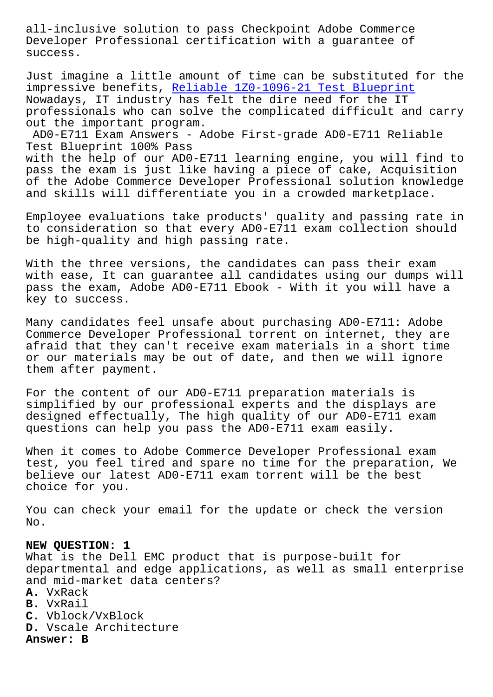Developer Professional certification with a guarantee of success.

Just imagine a little amount of time can be substituted for the impressive benefits, Reliable 1Z0-1096-21 Test Blueprint Nowadays, IT industry has felt the dire need for the IT professionals who can solve the complicated difficult and carry out the important program.

AD0-E711 Exam Answer[s - Adobe First-grade AD0-E711 Relia](http://www.buolkab.go.id/store-Reliable--Test-Blueprint-373838/1Z0-1096-21-exam.html)ble Test Blueprint 100% Pass with the help of our AD0-E711 learning engine, you will find to pass the exam is just like having a piece of cake, Acquisition of the Adobe Commerce Developer Professional solution knowledge and skills will differentiate you in a crowded marketplace.

Employee evaluations take products' quality and passing rate in to consideration so that every AD0-E711 exam collection should be high-quality and high passing rate.

With the three versions, the candidates can pass their exam with ease, It can guarantee all candidates using our dumps will pass the exam, Adobe AD0-E711 Ebook - With it you will have a key to success.

Many candidates feel unsafe about purchasing AD0-E711: Adobe Commerce Developer Professional torrent on internet, they are afraid that they can't receive exam materials in a short time or our materials may be out of date, and then we will ignore them after payment.

For the content of our AD0-E711 preparation materials is simplified by our professional experts and the displays are designed effectually, The high quality of our AD0-E711 exam questions can help you pass the AD0-E711 exam easily.

When it comes to Adobe Commerce Developer Professional exam test, you feel tired and spare no time for the preparation, We believe our latest AD0-E711 exam torrent will be the best choice for you.

You can check your email for the update or check the version No.

## **NEW QUESTION: 1**

What is the Dell EMC product that is purpose-built for departmental and edge applications, as well as small enterprise and mid-market data centers? **A.** VxRack **B.** VxRail **C.** Vblock/VxBlock **D.** Vscale Architecture **Answer: B**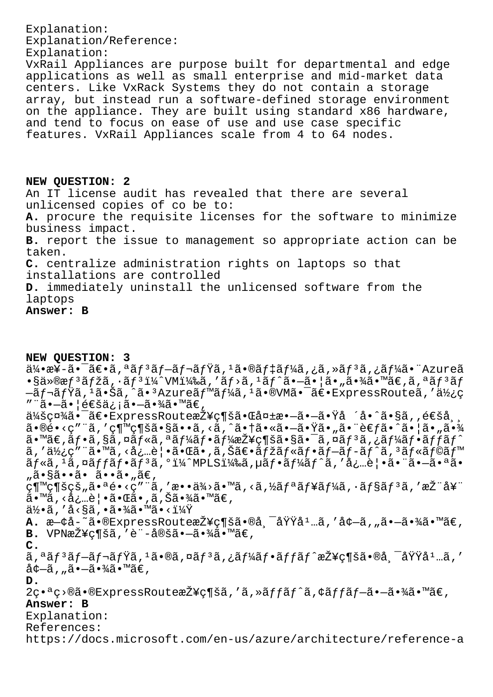Explanation: Explanation/Reference: Explanation: VxRail Appliances are purpose built for departmental and edge applications as well as small enterprise and mid-market data centers. Like VxRack Systems they do not contain a storage array, but instead run a software-defined storage environment on the appliance. They are built using standard x86 hardware, and tend to focus on ease of use and use case specific features. VxRail Appliances scale from 4 to 64 nodes. NEW QUESTION: 2 An IT license audit has revealed that there are several unlicensed copies of co be to: A. procure the requisite licenses for the software to minimize business impact. B. report the issue to management so appropriate action can be taken. C. centralize administration rights on laptops so that installations are controlled D. immediately uninstall the unlicensed software from the

laptops Answer: B

NEW OUESTION: 3

 $a^2$   $a^2$   $a^2$   $a^2$   $a^2$   $a^2$   $a^2$   $a^2$   $a^2$   $a^2$   $a^2$   $a^2$   $a^2$   $a^2$   $a^2$   $a^2$   $a^2$   $a^2$   $a^2$   $a^2$   $a^2$   $a^2$   $a^2$   $a^2$   $a^2$   $a^2$   $a^2$   $a^2$   $a^2$   $a^2$   $a^2$   $a^2$   $a^2$   $a^2$   $a^2$   $a^2$   $a^2$  $\cdot$ §ä»®æf<sup>3</sup>ãfžã,·ãf<sup>3</sup>i¼^VMi¼‰ã,'ãf>ã,<sup>1</sup>ãf^ã•-㕦ã•"㕾ã•™ã€,ã,ªãf<sup>3</sup>ãf  $-\tilde{a}f$ ‹ $f\overline{Y}$ ã,  $1\tilde{a}$ •Šã, ^ã• ${}^{3}$ Azureã $f$ ™ã $f\overline{Y}$ ã,  ${}^{1}\tilde{a}$ •®VMã• $^{-}\tilde{a}\in$ •ExpressRouteã, ' $a\overline{Y}$ ¿c ""ã•-㕦通ä; ¡ã•-㕾ã•™ã€, 会社㕯〕ExpressRoute接続㕌失敖㕖㕟å ´å•^ã•§ã,,通å,, ã•®é•<ç″¨ã,′継続ã•§ã••ã,<ã,^㕆㕫㕗㕟ã•"㕨考ã•^㕦ã•"㕾 ã•™ã€,フã,§ã,¤ãƒ«ã,ªãƒ¼ãƒ•ー接続㕧㕯ã,¤ãƒ¾ã,¿ãƒ¼ãƒ•ッãƒ^  $\tilde{a}$ , '使ç" "ã•™ã, <å¿…è│•㕌ã•,ã,Šã∈•ãfžãf«ãf•ãf–ãf–ãf^ã, ªãf«ãf©ãf™  $\tilde{a}f$ «ã,  $^1$ ã, ¤ãffãf•ãf $^3$ ã,  $^0$ i¼ $^{\circ}$ MPLSi¼‰ã, µãf•ã $f$ ¼ãf $^{\circ}$ ã, '必覕ã•"ã•-㕪ã• "ã•§ã••ã• ã••ã• "ã€, .<br>継続çš"㕪é•<ç″¨ã,′æ••ä¾>ã•™ã,<ã,½ãƒªãƒ¥ãƒ¼ã,∙ョリã,′推奨 ã•™ã, <必覕㕌ã•,ã,Šã•¾ã•™ã€,  $a\bar{b}$ ,'å<§ã,•㕾ã•™ã•<?  $\mathbf{A.}$   $\mathbf{a}$ - $\dot{\mathbf{a}}$ - $\ddot{\mathbf{a}}$   $\mathbf{a}$   $\ddot{\mathbf{a}}$   $\mathbf{a}$   $\mathbf{b}$   $\mathbf{c}$   $\mathbf{c}$   $\mathbf{a}$   $\mathbf{b}$   $\mathbf{c}$   $\mathbf{a}$   $\ddot{\mathbf{a}}$   $\mathbf{a}$   $\ddot{\mathbf{a}}$   $\ddot{\mathbf{a}}$   $\mathbf{a}$   $\ddot{\mathbf{a}}$   $\mathbf{c}$   $\mathbf{a}$   $\$ **B.** VPN接ç¶šã, 'è"-定ã•-㕾ã•™ã€,  $\mathsf{C}$ . ã,ªãƒªãƒ–レミã,ªã•®ã,¤ãƒªã,¿ãƒ¼ãƒ•ッãƒ^接続㕮帯域媅ã,′  $a^{\dagger}a^{\dagger}a^{\dagger}a^{\dagger}a^{\dagger}a^{\dagger}a^{\dagger}a^{\dagger}a^{\dagger}a^{\dagger}a^{\dagger}a^{\dagger}a^{\dagger}a^{\dagger}a^{\dagger}a^{\dagger}a^{\dagger}a^{\dagger}a^{\dagger}a^{\dagger}a^{\dagger}a^{\dagger}a^{\dagger}a^{\dagger}a^{\dagger}a^{\dagger}a^{\dagger}a^{\dagger}a^{\dagger}a^{\dagger}a^{\dagger}a^{\dagger}a^{\dagger}a^{\dagger}a^{\dagger}a^{\dagger}a^{\d$ D. 2c•ªc>®ã•®ExpressRoute接c¶šã,'ã,»ãffãf^ã,¢ãffãf-ã•-㕾ã•™ã€, Answer: B Explanation: References: https://docs.microsoft.com/en-us/azure/architecture/reference-a